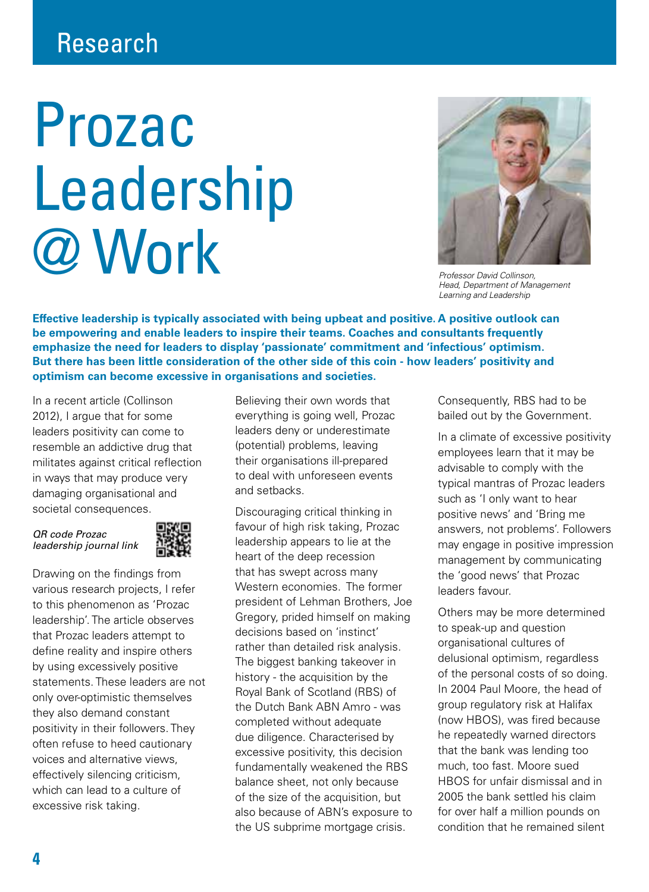## Research

## Prozac Leadership @ Work



*Professor David Collinson, Head, Department of Management Learning and Leadership*

**Effective leadership is typically associated with being upbeat and positive. A positive outlook can be empowering and enable leaders to inspire their teams. Coaches and consultants frequently emphasize the need for leaders to display 'passionate' commitment and 'infectious' optimism. But there has been little consideration of the other side of this coin - how leaders' positivity and optimism can become excessive in organisations and societies.** 

In a recent article (Collinson 2012). I argue that for some leaders positivity can come to resemble an addictive drug that militates against critical reflection in ways that may produce very damaging organisational and societal consequences.

QR code Prozac leadership journal link



Drawing on the findings from various research projects, I refer to this phenomenon as 'Prozac leadership'. The article observes that Prozac leaders attempt to define reality and inspire others by using excessively positive statements. These leaders are not only over-optimistic themselves they also demand constant positivity in their followers. They often refuse to heed cautionary voices and alternative views, effectively silencing criticism, which can lead to a culture of excessive risk taking.

Believing their own words that everything is going well, Prozac leaders deny or underestimate (potential) problems, leaving their organisations ill-prepared to deal with unforeseen events and setbacks.

Discouraging critical thinking in favour of high risk taking, Prozac leadership appears to lie at the heart of the deep recession that has swept across many Western economies. The former president of Lehman Brothers, Joe Gregory, prided himself on making decisions based on 'instinct' rather than detailed risk analysis. The biggest banking takeover in history - the acquisition by the Royal Bank of Scotland (RBS) of the Dutch Bank ABN Amro - was completed without adequate due diligence. Characterised by excessive positivity, this decision fundamentally weakened the RBS balance sheet, not only because of the size of the acquisition, but also because of ABN's exposure to the US subprime mortgage crisis.

Consequently, RBS had to be bailed out by the Government.

In a climate of excessive positivity employees learn that it may be advisable to comply with the typical mantras of Prozac leaders such as 'I only want to hear positive news' and 'Bring me answers, not problems'. Followers may engage in positive impression management by communicating the 'good news' that Prozac leaders favour.

Others may be more determined to speak-up and question organisational cultures of delusional optimism, regardless of the personal costs of so doing. In 2004 Paul Moore, the head of group regulatory risk at Halifax (now HBOS), was fired because he repeatedly warned directors that the bank was lending too much, too fast. Moore sued HBOS for unfair dismissal and in 2005 the bank settled his claim for over half a million pounds on condition that he remained silent